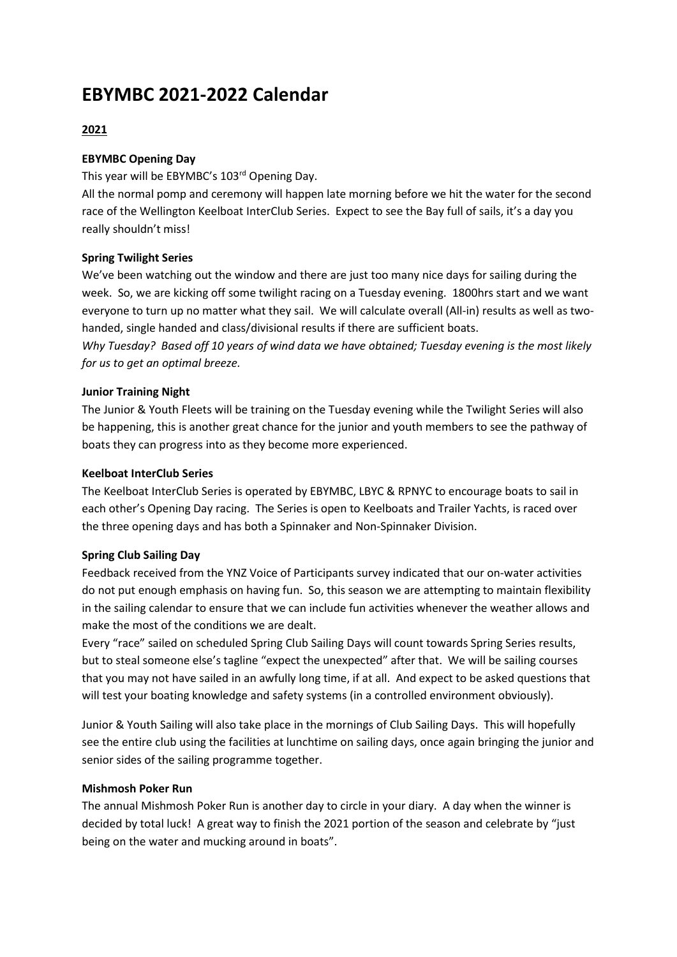## **EBYMBC 2021-2022 Calendar**

## **2021**

## **EBYMBC Opening Day**

This year will be EBYMBC's 103rd Opening Day.

All the normal pomp and ceremony will happen late morning before we hit the water for the second race of the Wellington Keelboat InterClub Series. Expect to see the Bay full of sails, it's a day you really shouldn't miss!

## **Spring Twilight Series**

We've been watching out the window and there are just too many nice days for sailing during the week. So, we are kicking off some twilight racing on a Tuesday evening. 1800hrs start and we want everyone to turn up no matter what they sail. We will calculate overall (All-in) results as well as twohanded, single handed and class/divisional results if there are sufficient boats.

*Why Tuesday? Based off 10 years of wind data we have obtained; Tuesday evening is the most likely for us to get an optimal breeze.*

## **Junior Training Night**

The Junior & Youth Fleets will be training on the Tuesday evening while the Twilight Series will also be happening, this is another great chance for the junior and youth members to see the pathway of boats they can progress into as they become more experienced.

## **Keelboat InterClub Series**

The Keelboat InterClub Series is operated by EBYMBC, LBYC & RPNYC to encourage boats to sail in each other's Opening Day racing. The Series is open to Keelboats and Trailer Yachts, is raced over the three opening days and has both a Spinnaker and Non-Spinnaker Division.

## **Spring Club Sailing Day**

Feedback received from the YNZ Voice of Participants survey indicated that our on-water activities do not put enough emphasis on having fun. So, this season we are attempting to maintain flexibility in the sailing calendar to ensure that we can include fun activities whenever the weather allows and make the most of the conditions we are dealt.

Every "race" sailed on scheduled Spring Club Sailing Days will count towards Spring Series results, but to steal someone else's tagline "expect the unexpected" after that. We will be sailing courses that you may not have sailed in an awfully long time, if at all. And expect to be asked questions that will test your boating knowledge and safety systems (in a controlled environment obviously).

Junior & Youth Sailing will also take place in the mornings of Club Sailing Days. This will hopefully see the entire club using the facilities at lunchtime on sailing days, once again bringing the junior and senior sides of the sailing programme together.

## **Mishmosh Poker Run**

The annual Mishmosh Poker Run is another day to circle in your diary. A day when the winner is decided by total luck! A great way to finish the 2021 portion of the season and celebrate by "just being on the water and mucking around in boats".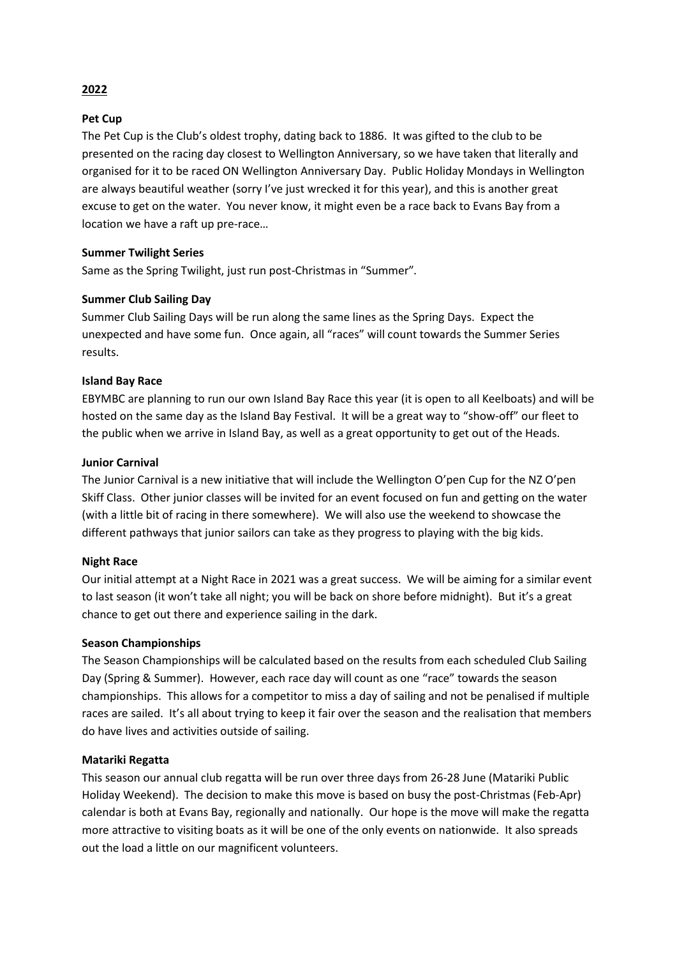# **2022**

#### **Pet Cup**

The Pet Cup is the Club's oldest trophy, dating back to 1886. It was gifted to the club to be presented on the racing day closest to Wellington Anniversary, so we have taken that literally and organised for it to be raced ON Wellington Anniversary Day. Public Holiday Mondays in Wellington are always beautiful weather (sorry I've just wrecked it for this year), and this is another great excuse to get on the water. You never know, it might even be a race back to Evans Bay from a location we have a raft up pre-race…

#### **Summer Twilight Series**

Same as the Spring Twilight, just run post-Christmas in "Summer"*.*

#### **Summer Club Sailing Day**

Summer Club Sailing Days will be run along the same lines as the Spring Days. Expect the unexpected and have some fun. Once again, all "races" will count towards the Summer Series results.

#### **Island Bay Race**

EBYMBC are planning to run our own Island Bay Race this year (it is open to all Keelboats) and will be hosted on the same day as the Island Bay Festival. It will be a great way to "show-off" our fleet to the public when we arrive in Island Bay, as well as a great opportunity to get out of the Heads.

#### **Junior Carnival**

The Junior Carnival is a new initiative that will include the Wellington O'pen Cup for the NZ O'pen Skiff Class. Other junior classes will be invited for an event focused on fun and getting on the water (with a little bit of racing in there somewhere). We will also use the weekend to showcase the different pathways that junior sailors can take as they progress to playing with the big kids.

#### **Night Race**

Our initial attempt at a Night Race in 2021 was a great success. We will be aiming for a similar event to last season (it won't take all night; you will be back on shore before midnight). But it's a great chance to get out there and experience sailing in the dark.

#### **Season Championships**

The Season Championships will be calculated based on the results from each scheduled Club Sailing Day (Spring & Summer). However, each race day will count as one "race" towards the season championships. This allows for a competitor to miss a day of sailing and not be penalised if multiple races are sailed. It's all about trying to keep it fair over the season and the realisation that members do have lives and activities outside of sailing.

#### **Matariki Regatta**

This season our annual club regatta will be run over three days from 26-28 June (Matariki Public Holiday Weekend). The decision to make this move is based on busy the post-Christmas (Feb-Apr) calendar is both at Evans Bay, regionally and nationally. Our hope is the move will make the regatta more attractive to visiting boats as it will be one of the only events on nationwide. It also spreads out the load a little on our magnificent volunteers.